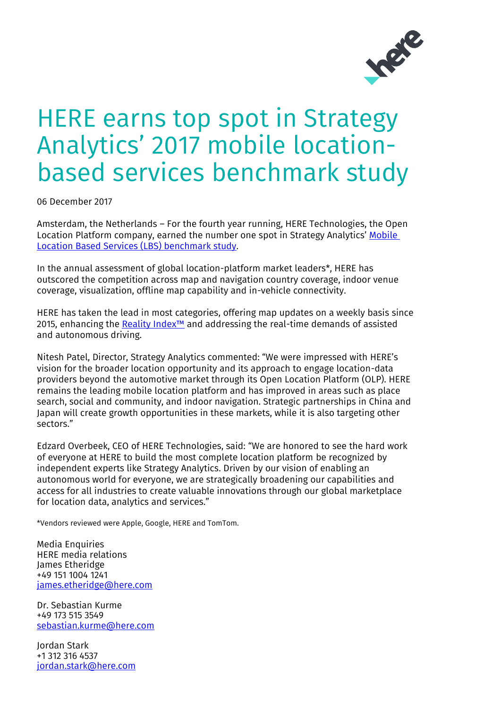

## HERE earns top spot in Strategy Analytics' 2017 mobile locationbased services benchmark study

06 December 2017

Amsterdam, the Netherlands – For the fourth year running, HERE Technologies, the Open Location Platform company, earned the number one spot in Strategy Analytics' Mobile [Location Based Services \(LBS\) benchmark study.](https://www.here.com/file/24396/download?token=tmCDPyrQ)

In the annual assessment of global location-platform market leaders\*, HERE has outscored the competition across map and navigation country coverage, indoor venue coverage, visualization, offline map capability and in-vehicle connectivity.

HERE has taken the lead in most categories, offering map updates on a weekly basis since 2015, enhancing the [Reality Index™](https://www.here.com/en/products-services/innovation/reality-index) and addressing the real-time demands of assisted and autonomous driving.

Nitesh Patel, Director, Strategy Analytics commented: "We were impressed with HERE's vision for the broader location opportunity and its approach to engage location-data providers beyond the automotive market through its Open Location Platform (OLP). HERE remains the leading mobile location platform and has improved in areas such as place search, social and community, and indoor navigation. Strategic partnerships in China and Japan will create growth opportunities in these markets, while it is also targeting other sectors."

Edzard Overbeek, CEO of HERE Technologies, said: "We are honored to see the hard work of everyone at HERE to build the most complete location platform be recognized by independent experts like Strategy Analytics. Driven by our vision of enabling an autonomous world for everyone, we are strategically broadening our capabilities and access for all industries to create valuable innovations through our global marketplace for location data, analytics and services."

\*Vendors reviewed were Apple, Google, HERE and TomTom.

Media Enquiries HERE media relations James Etheridge +49 151 1004 1241 [james.etheridge@here.com](mailto:james.etheridge@here.com)

Dr. Sebastian Kurme +49 173 515 3549 [sebastian.kurme@here.com](mailto:sebastian.kurme@here.com)

Jordan Stark +1 312 316 4537 [jordan.stark@here.com](mailto:jordan.stark@here.com)